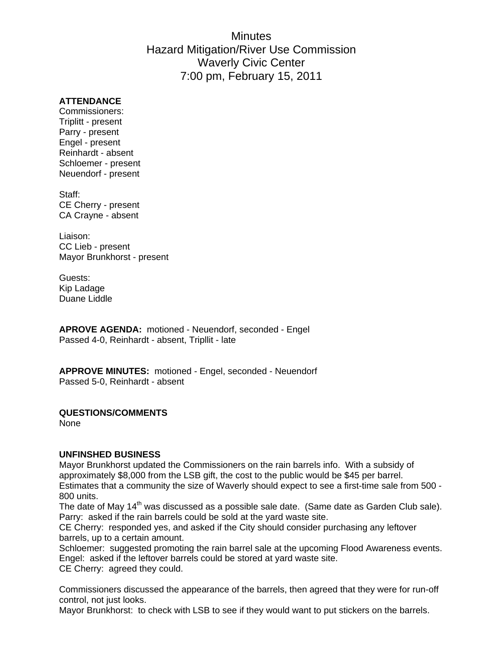# **Minutes** Hazard Mitigation/River Use Commission Waverly Civic Center 7:00 pm, February 15, 2011

### **ATTENDANCE**

Commissioners: Triplitt - present Parry - present Engel - present Reinhardt - absent Schloemer - present Neuendorf - present

Staff: CE Cherry - present CA Crayne - absent

Liaison: CC Lieb - present Mayor Brunkhorst - present

Guests: Kip Ladage Duane Liddle

**APROVE AGENDA:** motioned - Neuendorf, seconded - Engel Passed 4-0, Reinhardt - absent, Tripllit - late

**APPROVE MINUTES:** motioned - Engel, seconded - Neuendorf Passed 5-0, Reinhardt - absent

#### **QUESTIONS/COMMENTS**

None

#### **UNFINSHED BUSINESS**

Mayor Brunkhorst updated the Commissioners on the rain barrels info. With a subsidy of approximately \$8,000 from the LSB gift, the cost to the public would be \$45 per barrel. Estimates that a community the size of Waverly should expect to see a first-time sale from 500 - 800 units.

The date of May 14<sup>th</sup> was discussed as a possible sale date. (Same date as Garden Club sale). Parry: asked if the rain barrels could be sold at the yard waste site.

CE Cherry: responded yes, and asked if the City should consider purchasing any leftover barrels, up to a certain amount.

Schloemer: suggested promoting the rain barrel sale at the upcoming Flood Awareness events. Engel: asked if the leftover barrels could be stored at yard waste site. CE Cherry: agreed they could.

Commissioners discussed the appearance of the barrels, then agreed that they were for run-off control, not just looks.

Mayor Brunkhorst: to check with LSB to see if they would want to put stickers on the barrels.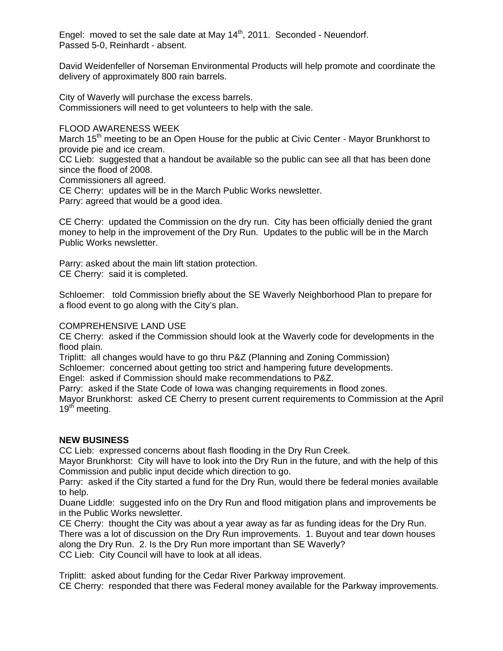Engel: moved to set the sale date at May  $14<sup>th</sup>$ , 2011. Seconded - Neuendorf. Passed 5-0, Reinhardt - absent.

David Weidenfeller of Norseman Environmental Products will help promote and coordinate the delivery of approximately 800 rain barrels.

City of Waverly will purchase the excess barrels. Commissioners will need to get volunteers to help with the sale.

## FLOOD AWARENESS WEEK

March  $15<sup>th</sup>$  meeting to be an Open House for the public at Civic Center - Mayor Brunkhorst to provide pie and ice cream.

CC Lieb: suggested that a handout be available so the public can see all that has been done since the flood of 2008.

Commissioners all agreed.

CE Cherry: updates will be in the March Public Works newsletter.

Parry: agreed that would be a good idea.

CE Cherry: updated the Commission on the dry run. City has been officially denied the grant money to help in the improvement of the Dry Run. Updates to the public will be in the March Public Works newsletter.

Parry: asked about the main lift station protection. CE Cherry: said it is completed.

Schloemer: told Commission briefly about the SE Waverly Neighborhood Plan to prepare for a flood event to go along with the City's plan.

# COMPREHENSIVE LAND USE

CE Cherry: asked if the Commission should look at the Waverly code for developments in the flood plain.

Triplitt: all changes would have to go thru P&Z (Planning and Zoning Commission)

Schloemer: concerned about getting too strict and hampering future developments.

Engel: asked if Commission should make recommendations to P&Z.

Parry: asked if the State Code of Iowa was changing requirements in flood zones.

Mayor Brunkhorst: asked CE Cherry to present current requirements to Commission at the April 19<sup>th</sup> meeting.

# **NEW BUSINESS**

CC Lieb: expressed concerns about flash flooding in the Dry Run Creek.

Mayor Brunkhorst: City will have to look into the Dry Run in the future, and with the help of this Commission and public input decide which direction to go.

Parry: asked if the City started a fund for the Dry Run, would there be federal monies available to help.

Duane Liddle: suggested info on the Dry Run and flood mitigation plans and improvements be in the Public Works newsletter.

CE Cherry: thought the City was about a year away as far as funding ideas for the Dry Run. There was a lot of discussion on the Dry Run improvements. 1. Buyout and tear down houses along the Dry Run. 2. Is the Dry Run more important than SE Waverly? CC Lieb: City Council will have to look at all ideas.

Triplitt: asked about funding for the Cedar River Parkway improvement. CE Cherry: responded that there was Federal money available for the Parkway improvements.